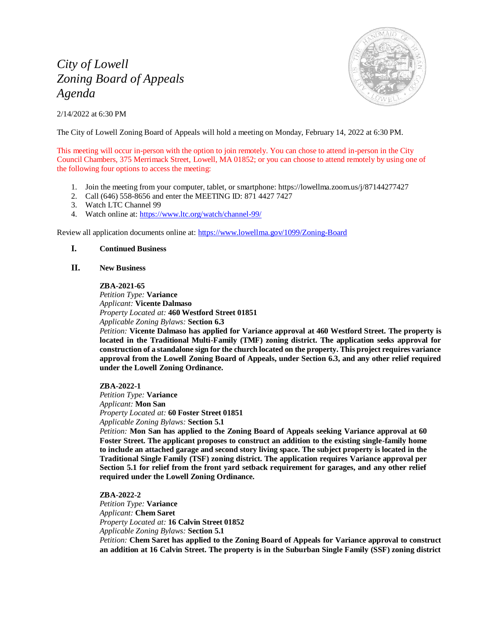# *City of Lowell Zoning Board of Appeals Agenda*

2/14/2022 at 6:30 PM



The City of Lowell Zoning Board of Appeals will hold a meeting on Monday, February 14, 2022 at 6:30 PM.

This meeting will occur in-person with the option to join remotely. You can chose to attend in-person in the City Council Chambers, 375 Merrimack Street, Lowell, MA 01852; or you can choose to attend remotely by using one of the following four options to access the meeting:

- 1. Join the meeting from your computer, tablet, or smartphone: https://lowellma.zoom.us/j/87144277427
- 2. Call (646) 558-8656 and enter the MEETING ID: 871 4427 7427
- 3. Watch LTC Channel 99
- 4. Watch online at[: https://www.ltc.org/watch/channel-99/](https://www.ltc.org/watch/channel-99/)

Review all application documents online at:<https://www.lowellma.gov/1099/Zoning-Board>

## **I. Continued Business**

## **II. New Business**

### **ZBA-2021-65**

*Petition Type:* **Variance** *Applicant:* **Vicente Dalmaso** *Property Located at:* **460 Westford Street 01851** *Applicable Zoning Bylaws:* **Section 6.3**

*Petition:* **Vicente Dalmaso has applied for Variance approval at 460 Westford Street. The property is located in the Traditional Multi-Family (TMF) zoning district. The application seeks approval for construction of a standalone sign for the church located on the property. This project requires variance approval from the Lowell Zoning Board of Appeals, under Section 6.3, and any other relief required under the Lowell Zoning Ordinance.**

**ZBA-2022-1** *Petition Type:* **Variance** *Applicant:* **Mon San** *Property Located at:* **60 Foster Street 01851**

*Applicable Zoning Bylaws:* **Section 5.1**

*Petition:* **Mon San has applied to the Zoning Board of Appeals seeking Variance approval at 60 Foster Street. The applicant proposes to construct an addition to the existing single-family home to include an attached garage and second story living space. The subject property is located in the Traditional Single Family (TSF) zoning district. The application requires Variance approval per Section 5.1 for relief from the front yard setback requirement for garages, and any other relief required under the Lowell Zoning Ordinance.**

## **ZBA-2022-2**

*Petition Type:* **Variance** *Applicant:* **Chem Saret** *Property Located at:* **16 Calvin Street 01852** *Applicable Zoning Bylaws:* **Section 5.1**

*Petition:* **Chem Saret has applied to the Zoning Board of Appeals for Variance approval to construct an addition at 16 Calvin Street. The property is in the Suburban Single Family (SSF) zoning district**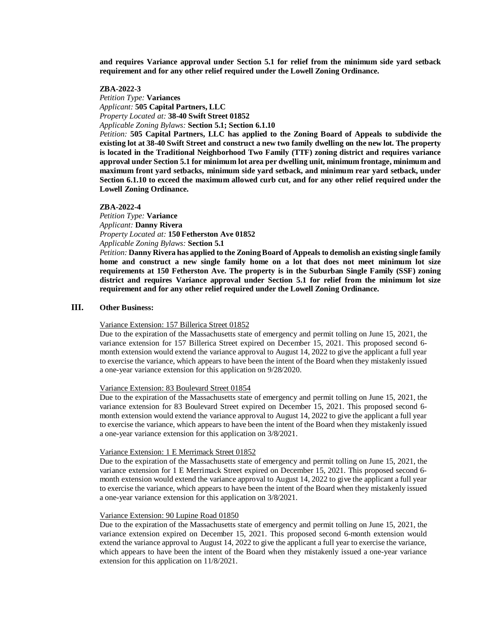**and requires Variance approval under Section 5.1 for relief from the minimum side yard setback requirement and for any other relief required under the Lowell Zoning Ordinance.**

#### **ZBA-2022-3**

*Petition Type:* **Variances** *Applicant:* **505 Capital Partners, LLC** *Property Located at:* **38-40 Swift Street 01852**

*Applicable Zoning Bylaws:* **Section 5.1; Section 6.1.10**

*Petition:* **505 Capital Partners, LLC has applied to the Zoning Board of Appeals to subdivide the existing lot at 38-40 Swift Street and construct a new two family dwelling on the new lot. The property is located in the Traditional Neighborhood Two Family (TTF) zoning district and requires variance approval under Section 5.1 for minimum lot area per dwelling unit, minimum frontage, minimum and maximum front yard setbacks, minimum side yard setback, and minimum rear yard setback, under Section 6.1.10 to exceed the maximum allowed curb cut, and for any other relief required under the Lowell Zoning Ordinance.**

#### **ZBA-2022-4**

*Petition Type:* **Variance** *Applicant:* **Danny Rivera** *Property Located at:* **150 Fetherston Ave 01852** *Applicable Zoning Bylaws:* **Section 5.1**

*Petition:* **Danny Rivera has applied to the Zoning Board of Appeals to demolish an existing single family home and construct a new single family home on a lot that does not meet minimum lot size requirements at 150 Fetherston Ave. The property is in the Suburban Single Family (SSF) zoning district and requires Variance approval under Section 5.1 for relief from the minimum lot size requirement and for any other relief required under the Lowell Zoning Ordinance.**

## **III. Other Business:**

#### Variance Extension: 157 Billerica Street 01852

Due to the expiration of the Massachusetts state of emergency and permit tolling on June 15, 2021, the variance extension for 157 Billerica Street expired on December 15, 2021. This proposed second 6 month extension would extend the variance approval to August 14, 2022 to give the applicant a full year to exercise the variance, which appears to have been the intent of the Board when they mistakenly issued a one-year variance extension for this application on 9/28/2020.

#### Variance Extension: 83 Boulevard Street 01854

Due to the expiration of the Massachusetts state of emergency and permit tolling on June 15, 2021, the variance extension for 83 Boulevard Street expired on December 15, 2021. This proposed second 6 month extension would extend the variance approval to August 14, 2022 to give the applicant a full year to exercise the variance, which appears to have been the intent of the Board when they mistakenly issued a one-year variance extension for this application on 3/8/2021.

### Variance Extension: 1 E Merrimack Street 01852

Due to the expiration of the Massachusetts state of emergency and permit tolling on June 15, 2021, the variance extension for 1 E Merrimack Street expired on December 15, 2021. This proposed second 6 month extension would extend the variance approval to August 14, 2022 to give the applicant a full year to exercise the variance, which appears to have been the intent of the Board when they mistakenly issued a one-year variance extension for this application on 3/8/2021.

#### Variance Extension: 90 Lupine Road 01850

Due to the expiration of the Massachusetts state of emergency and permit tolling on June 15, 2021, the variance extension expired on December 15, 2021. This proposed second 6-month extension would extend the variance approval to August 14, 2022 to give the applicant a full year to exercise the variance, which appears to have been the intent of the Board when they mistakenly issued a one-year variance extension for this application on 11/8/2021.